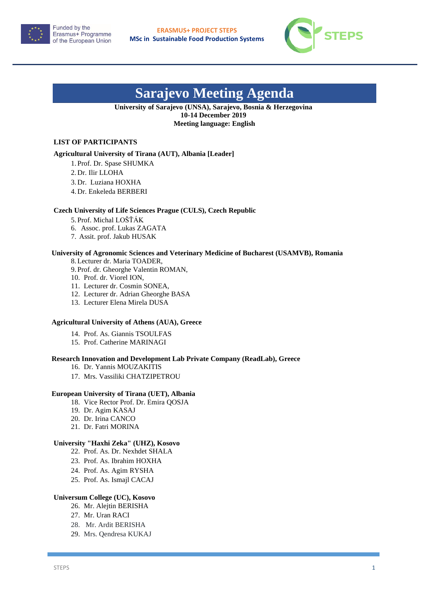



# **Sarajevo Meeting Agenda**

#### **University of Sarajevo (UNSA), Sarajevo, Bosnia & Herzegovina 10-14 December 2019 Meeting language: English**

#### **LIST OF PARTICIPANTS**

#### **Agricultural University of Tirana (AUT), Albania [Leader]**

1. Prof. Dr. Spase SHUMKA

- 2. Dr. Ilir LLOHA
- 3. Dr. Luziana HOXHA
- 4. Dr. Enkeleda BERBERI

#### **Czech University of Life Sciences Prague (CULS), Czech Republic**

- 5. Prof. Michal LOŠŤÁK
- 6. Assoc. prof. Lukas ZAGATA
- 7. Assit. prof. Jakub HUSAK

### **University of Agronomic Sciences and Veterinary Medicine of Bucharest (USAMVB), Romania**

8.Lecturer dr. Maria TOADER,

- 9. Prof. dr. Gheorghe Valentin ROMAN,
- 10. Prof. dr. Viorel ION,
- 11. Lecturer dr. Cosmin SONEA,
- 12. Lecturer dr. Adrian Gheorghe BASA
- 13. Lecturer Elena Mirela DUSA

#### **Agricultural University of Athens (AUA), Greece**

- 14. Prof. As. Giannis TSOULFAS
- 15. Prof. Catherine MARINAGI

#### **Research Innovation and Development Lab Private Company (ReadLab), Greece**

- 16. Dr. Yannis MOUZAKITIS
- 17. Mrs. Vassiliki CHATZIPETROU

#### **European University of Tirana (UET), Albania**

- 18. Vice Rector Prof. Dr. Emira QOSJA
- 19. Dr. Agim KASAJ
- 20. Dr. Irina CANCO
- 21. Dr. Fatri MORINA

#### **University "Haxhi Zeka" (UHZ), Kosovo**

- 22. Prof. As. Dr. Nexhdet SHALA
- 23. Prof. As. Ibrahim HOXHA
- 24. Prof. As. Agim RYSHA
- 25. Prof. As. Ismajl CACAJ

#### **Universum College (UC), Kosovo**

- 26. Mr. Alejtin BERISHA
- 27. Mr. Uran RACI
- 28. Mr. Ardit BERISHA
- 29. Mrs. Qendresa KUKAJ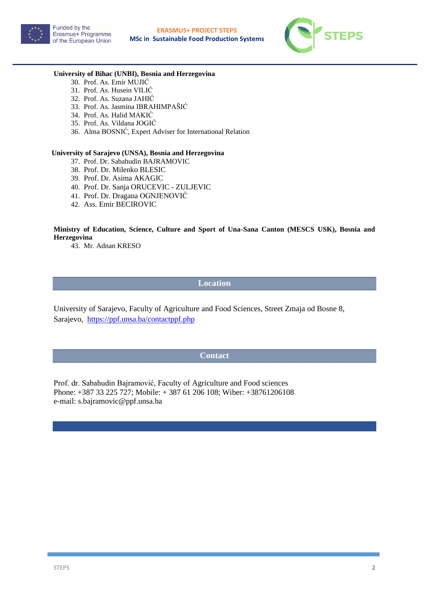



#### **University of Bihac (UNBI), Bosnia and Herzegovina**

- 30. Prof. As. Emir MUJIĆ
- 31. Prof. As. Husein VILIĆ
- 32. Prof. As. Suzana JAHIĆ
- 33. Prof. As. Jasmina IBRAHIMPAŠIĆ
- 34. Prof. As. Halid MAKIĆ
- 35. Prof. As. Vildana JOGIĆ
- 36. Alma BOSNIĆ, Expert Adviser for International Relation

#### **University of Sarajevo (UNSA), Bosnia and Herzegovina**

- 37. Prof. Dr. Sabahudin BAJRAMOVIC
- 38. Prof. Dr. Milenko BLESIC
- 39. Prof. Dr. Asima AKAGIC
- 40. Prof. Dr. Sanja ORUCEVIC ZULJEVIC
- 41. Prof. Dr. Dragana OGNJENOVIĆ
- 42. Ass. Emir BECIROVIC

#### **Ministry of Education, Science, Culture and Sport of Una-Sana Canton (MESCS USK), Bosnia and Herzegovina**

43. Mr. Adnan KRESO

#### **Location**

University of Sarajevo, Faculty of Agriculture and Food Sciences, Street Zmaja od Bosne 8, Sarajevo,<https://ppf.unsa.ba/contactppf.php>

#### **Contact**

Prof. dr. Sabahudin Bajramović, Faculty of Agriculture and Food sciences Phone: +387 33 225 727; Mobile: + 387 61 206 108; Wiber: +38761206108 e-mail: s.bajramovic@ppf.unsa.ba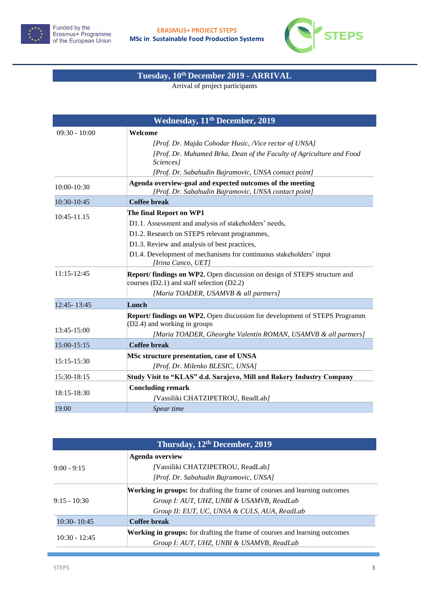



## **Tuesday, 10th December 2019 - ARRIVAL**

Arrival of project participants

| Wednesday, 11 <sup>th</sup> December, 2019 |                                                                                                                            |
|--------------------------------------------|----------------------------------------------------------------------------------------------------------------------------|
| $09:30 - 10:00$                            | Welcome                                                                                                                    |
|                                            | [Prof. Dr. Majda Cohodar Husic, Nice rector of UNSA]                                                                       |
|                                            | [Prof. Dr. Muhamed Brka, Dean of the Faculty of Agriculture and Food<br><i>Sciences</i> l                                  |
|                                            | [Prof. Dr. Sabahudin Bajramovic, UNSA contact point]                                                                       |
| $10:00 - 10:30$                            | Agenda overview-goal and expected outcomes of the meeting<br>[Prof. Dr. Sabahudin Bajramovic, UNSA contact point]          |
| 10:30-10:45                                | <b>Coffee break</b>                                                                                                        |
| 10:45-11.15                                | The final Report on WP1                                                                                                    |
|                                            | D1.1. Assessment and analysis of stakeholders' needs,                                                                      |
|                                            | D1.2. Research on STEPS relevant programmes,                                                                               |
|                                            | D1.3. Review and analysis of best practices,                                                                               |
|                                            | D1.4. Development of mechanisms for continuous stakeholders' input<br>[Irina Canco, UET]                                   |
| $11:15-12:45$                              | Report/ findings on WP2. Open discussion on design of STEPS structure and<br>courses $(D2.1)$ and staff selection $(D2.2)$ |
|                                            | [Maria TOADER, USAMVB & all partners]                                                                                      |
| 12:45-13:45                                | Lunch                                                                                                                      |
|                                            | Report/ findings on WP2. Open discussion for development of STEPS Programm<br>$(D2.4)$ and working in groups               |
| 13:45-15:00                                | [Maria TOADER, Gheorghe Valentin ROMAN, USAMVB & all partners]                                                             |
| 15:00-15:15                                | <b>Coffee break</b>                                                                                                        |
| $15:15-15:30$                              | MSc structure presentation, case of UNSA                                                                                   |
|                                            | [Prof. Dr. Milenko BLESIC, UNSA]                                                                                           |
| 15:30-18:15                                | Study Visit to "KLAS" d.d. Sarajevo, Mill and Bakery Industry Company                                                      |
| 18:15-18:30                                | <b>Concluding remark</b>                                                                                                   |
|                                            | /Vassiliki CHATZIPETROU, ReadLab/                                                                                          |
| 19:00                                      | Spear time                                                                                                                 |

| Thursday, 12 <sup>th</sup> December, 2019 |                                                                                   |  |
|-------------------------------------------|-----------------------------------------------------------------------------------|--|
|                                           | <b>Agenda overview</b>                                                            |  |
| $9:00 - 9:15$                             | /Vassiliki CHATZIPETROU, ReadLab/                                                 |  |
|                                           | [Prof. Dr. Sabahudin Bajramovic, UNSA]                                            |  |
|                                           | <b>Working in groups:</b> for drafting the frame of courses and learning outcomes |  |
| $9:15 - 10:30$                            | Group I: AUT, UHZ, UNBI & USAMVB, ReadLab                                         |  |
|                                           | Group II: EUT, UC, UNSA & CULS, AUA, ReadLab                                      |  |
| $10:30 - 10:45$                           | <b>Coffee break</b>                                                               |  |
|                                           | <b>Working in groups:</b> for drafting the frame of courses and learning outcomes |  |
| $10:30 - 12:45$                           | Group I: AUT, UHZ, UNBI & USAMVB, ReadLab                                         |  |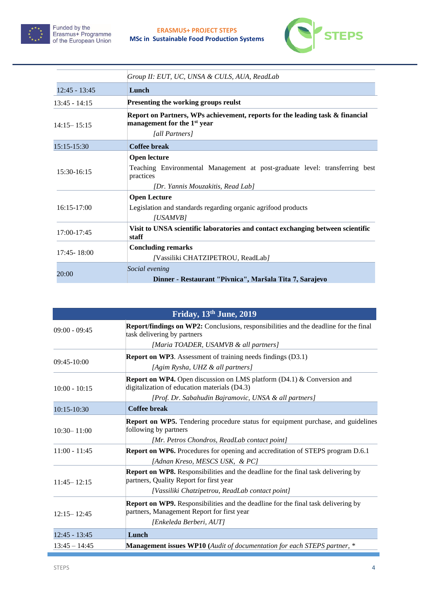



|                 | Group II: EUT, UC, UNSA & CULS, AUA, ReadLab                                                                             |
|-----------------|--------------------------------------------------------------------------------------------------------------------------|
| $12:45 - 13:45$ | Lunch                                                                                                                    |
| $13:45 - 14:15$ | Presenting the working groups reulst                                                                                     |
| $14:15 - 15:15$ | Report on Partners, WPs achievement, reports for the leading task & financial<br>management for the 1 <sup>st</sup> year |
|                 | [all Partners]                                                                                                           |
| 15:15-15:30     | <b>Coffee break</b>                                                                                                      |
| 15:30-16:15     | <b>Open lecture</b>                                                                                                      |
|                 | Teaching Environmental Management at post-graduate level: transferring best<br>practices                                 |
|                 | [Dr. Yannis Mouzakitis, Read Lab]                                                                                        |
| $16:15-17:00$   | <b>Open Lecture</b>                                                                                                      |
|                 | Legislation and standards regarding organic agrifood products                                                            |
|                 | [USAMVB]                                                                                                                 |
| 17:00-17:45     | Visit to UNSA scientific laboratories and contact exchanging between scientific<br>staff                                 |
| $17:45 - 18:00$ | <b>Concluding remarks</b>                                                                                                |
|                 | /Vassiliki CHATZIPETROU, ReadLab/                                                                                        |
| 20:00           | Social evening                                                                                                           |
|                 | Dinner - Restaurant "Pivnica", Maršala Tita 7, Sarajevo                                                                  |

|                 | Friday, 13th June, 2019                                                                                                                                                                  |
|-----------------|------------------------------------------------------------------------------------------------------------------------------------------------------------------------------------------|
| $09:00 - 09:45$ | <b>Report/findings on WP2:</b> Conclusions, responsibilities and the deadline for the final<br>task delivering by partners<br>[Maria TOADER, USAMVB & all partners]                      |
| $09:45-10:00$   | <b>Report on WP3.</b> Assessment of training needs findings (D3.1)<br>[Agim Rysha, UHZ & all partners]                                                                                   |
| $10:00 - 10:15$ | <b>Report on WP4.</b> Open discussion on LMS platform $(D4.1)$ & Conversion and<br>digitalization of education materials (D4.3)<br>[Prof. Dr. Sabahudin Bajramovic, UNSA & all partners] |
| 10:15-10:30     | <b>Coffee break</b>                                                                                                                                                                      |
| $10:30 - 11:00$ | <b>Report on WP5.</b> Tendering procedure status for equipment purchase, and guidelines<br>following by partners<br>[Mr. Petros Chondros, ReadLab contact point]                         |
| $11:00 - 11:45$ | <b>Report on WP6.</b> Procedures for opening and accreditation of STEPS program D.6.1<br>[Adnan Kreso, MESCS USK, & PC]                                                                  |
| $11:45 - 12:15$ | <b>Report on WP8.</b> Responsibilities and the deadline for the final task delivering by<br>partners, Quality Report for first year<br>[Vassiliki Chatzipetrou, ReadLab contact point]   |
| $12:15 - 12:45$ | <b>Report on WP9.</b> Responsibilities and the deadline for the final task delivering by<br>partners, Management Report for first year<br>[Enkeleda Berberi, AUT]                        |
| $12:45 - 13:45$ | Lunch                                                                                                                                                                                    |
| $13:45 - 14:45$ | <b>Management issues WP10</b> (Audit of documentation for each STEPS partner, *                                                                                                          |